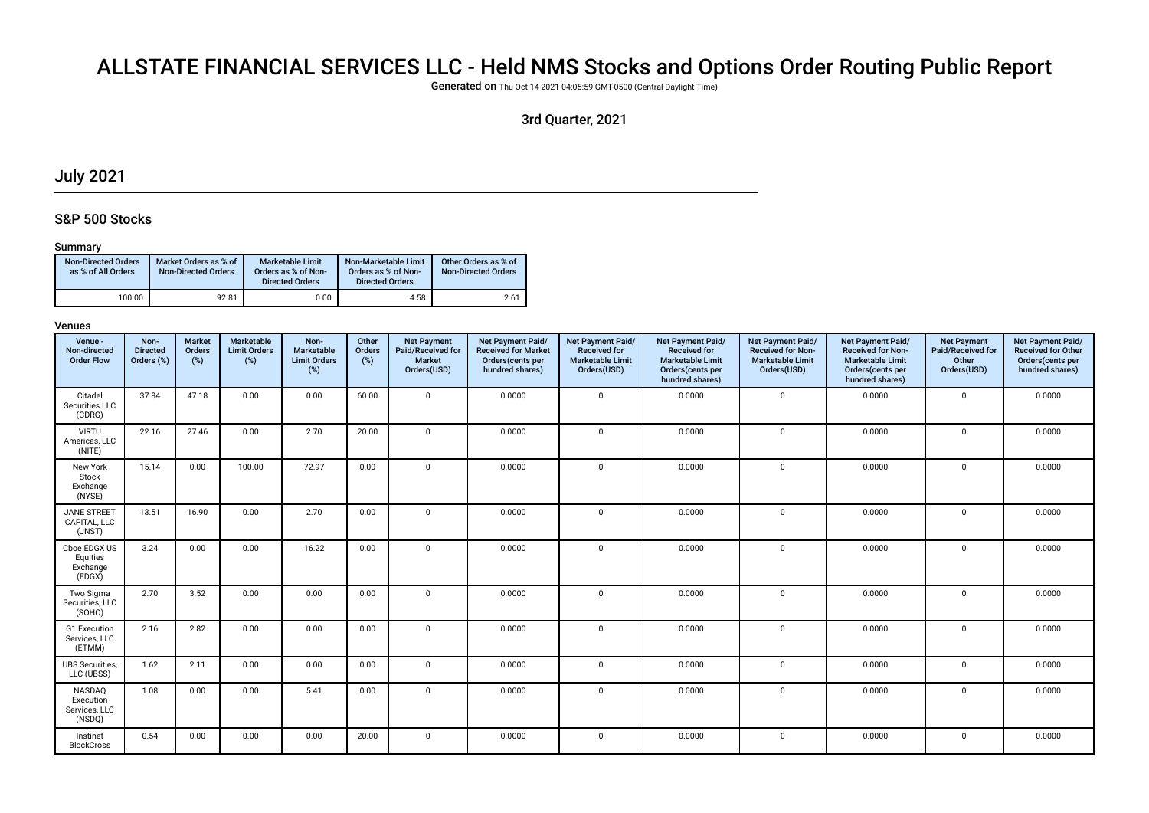# ALLSTATE FINANCIAL SERVICES LLC - Held NMS Stocks and Options Order Routing Public Report

Generated on Thu Oct 14 2021 04:05:59 GMT-0500 (Central Daylight Time)

# 3rd Quarter, 2021

# July 2021

# S&P 500 Stocks

### Summary

| <b>Non-Directed Orders</b><br>as % of All Orders | Market Orders as % of<br><b>Non-Directed Orders</b> | Marketable Limit<br>Orders as % of Non-<br><b>Directed Orders</b> | Non-Marketable Limit<br>Orders as % of Non-<br><b>Directed Orders</b> | Other Orders as % of<br><b>Non-Directed Orders</b> |
|--------------------------------------------------|-----------------------------------------------------|-------------------------------------------------------------------|-----------------------------------------------------------------------|----------------------------------------------------|
| 100.00                                           | 92.81                                               | 0.00                                                              | 4.58                                                                  | 2.61                                               |

| Venue -<br>Non-directed<br><b>Order Flow</b>   | Non-<br><b>Directed</b><br>Orders (%) | <b>Market</b><br>Orders<br>(%) | Marketable<br><b>Limit Orders</b><br>(%) | Non-<br>Marketable<br><b>Limit Orders</b><br>(%) | Other<br>Orders<br>(%) | <b>Net Payment</b><br>Paid/Received for<br><b>Market</b><br>Orders(USD) | Net Payment Paid/<br><b>Received for Market</b><br>Orders(cents per<br>hundred shares) | Net Payment Paid/<br><b>Received for</b><br><b>Marketable Limit</b><br>Orders(USD) | <b>Net Payment Paid/</b><br><b>Received for</b><br><b>Marketable Limit</b><br>Orders(cents per<br>hundred shares) | Net Payment Paid/<br><b>Received for Non-</b><br><b>Marketable Limit</b><br>Orders(USD) | Net Payment Paid/<br><b>Received for Non-</b><br><b>Marketable Limit</b><br>Orders(cents per<br>hundred shares) | <b>Net Payment</b><br>Paid/Received for<br>Other<br>Orders(USD) | Net Payment Paid/<br><b>Received for Other</b><br>Orders(cents per<br>hundred shares) |
|------------------------------------------------|---------------------------------------|--------------------------------|------------------------------------------|--------------------------------------------------|------------------------|-------------------------------------------------------------------------|----------------------------------------------------------------------------------------|------------------------------------------------------------------------------------|-------------------------------------------------------------------------------------------------------------------|-----------------------------------------------------------------------------------------|-----------------------------------------------------------------------------------------------------------------|-----------------------------------------------------------------|---------------------------------------------------------------------------------------|
| Citadel<br>Securities LLC<br>(CDRG)            | 37.84                                 | 47.18                          | 0.00                                     | 0.00                                             | 60.00                  | $\mathbf 0$                                                             | 0.0000                                                                                 | $\mathbf 0$                                                                        | 0.0000                                                                                                            | $\mathbf{0}$                                                                            | 0.0000                                                                                                          | $\mathbf 0$                                                     | 0.0000                                                                                |
| <b>VIRTU</b><br>Americas, LLC<br>(NITE)        | 22.16                                 | 27.46                          | 0.00                                     | 2.70                                             | 20.00                  | $\mathbf 0$                                                             | 0.0000                                                                                 | $\mathsf 0$                                                                        | 0.0000                                                                                                            | 0                                                                                       | 0.0000                                                                                                          | $\mathbf 0$                                                     | 0.0000                                                                                |
| New York<br>Stock<br>Exchange<br>(NYSE)        | 15.14                                 | 0.00                           | 100.00                                   | 72.97                                            | 0.00                   | $\mathbf 0$                                                             | 0.0000                                                                                 | $\mathbf 0$                                                                        | 0.0000                                                                                                            | $\mathbf 0$                                                                             | 0.0000                                                                                                          | $\mathbf 0$                                                     | 0.0000                                                                                |
| <b>JANE STREET</b><br>CAPITAL, LLC<br>(JNST)   | 13.51                                 | 16.90                          | 0.00                                     | 2.70                                             | 0.00                   | $\mathbf 0$                                                             | 0.0000                                                                                 | $\mathsf 0$                                                                        | 0.0000                                                                                                            | $\mathbf 0$                                                                             | 0.0000                                                                                                          | $\mathbf 0$                                                     | 0.0000                                                                                |
| Cboe EDGX US<br>Equities<br>Exchange<br>(EDGX) | 3.24                                  | 0.00                           | 0.00                                     | 16.22                                            | 0.00                   | $\mathbf 0$                                                             | 0.0000                                                                                 | $\mathbf{0}$                                                                       | 0.0000                                                                                                            | 0                                                                                       | 0.0000                                                                                                          | $\mathbf 0$                                                     | 0.0000                                                                                |
| Two Sigma<br>Securities, LLC<br>(SOHO)         | 2.70                                  | 3.52                           | 0.00                                     | 0.00                                             | 0.00                   | $\mathbf 0$                                                             | 0.0000                                                                                 | $\mathbf{0}$                                                                       | 0.0000                                                                                                            | 0                                                                                       | 0.0000                                                                                                          | $\mathbf 0$                                                     | 0.0000                                                                                |
| G1 Execution<br>Services, LLC<br>(ETMM)        | 2.16                                  | 2.82                           | 0.00                                     | 0.00                                             | 0.00                   | $\mathbf 0$                                                             | 0.0000                                                                                 | $\mathbf{0}$                                                                       | 0.0000                                                                                                            | $\mathbf 0$                                                                             | 0.0000                                                                                                          | $\Omega$                                                        | 0.0000                                                                                |
| <b>UBS Securities</b><br>LLC (UBSS)            | 1.62                                  | 2.11                           | 0.00                                     | 0.00                                             | 0.00                   | $\mathbf 0$                                                             | 0.0000                                                                                 | $\mathbf 0$                                                                        | 0.0000                                                                                                            | 0                                                                                       | 0.0000                                                                                                          | $\mathsf 0$                                                     | 0.0000                                                                                |
| NASDAQ<br>Execution<br>Services, LLC<br>(NSDQ) | 1.08                                  | 0.00                           | 0.00                                     | 5.41                                             | 0.00                   | $\mathbf 0$                                                             | 0.0000                                                                                 | $\mathbf 0$                                                                        | 0.0000                                                                                                            | 0                                                                                       | 0.0000                                                                                                          | $\mathbf 0$                                                     | 0.0000                                                                                |
| Instinet<br><b>BlockCross</b>                  | 0.54                                  | 0.00                           | 0.00                                     | 0.00                                             | 20.00                  | $\mathbf{0}$                                                            | 0.0000                                                                                 | $\mathbf 0$                                                                        | 0.0000                                                                                                            | 0                                                                                       | 0.0000                                                                                                          | 0                                                               | 0.0000                                                                                |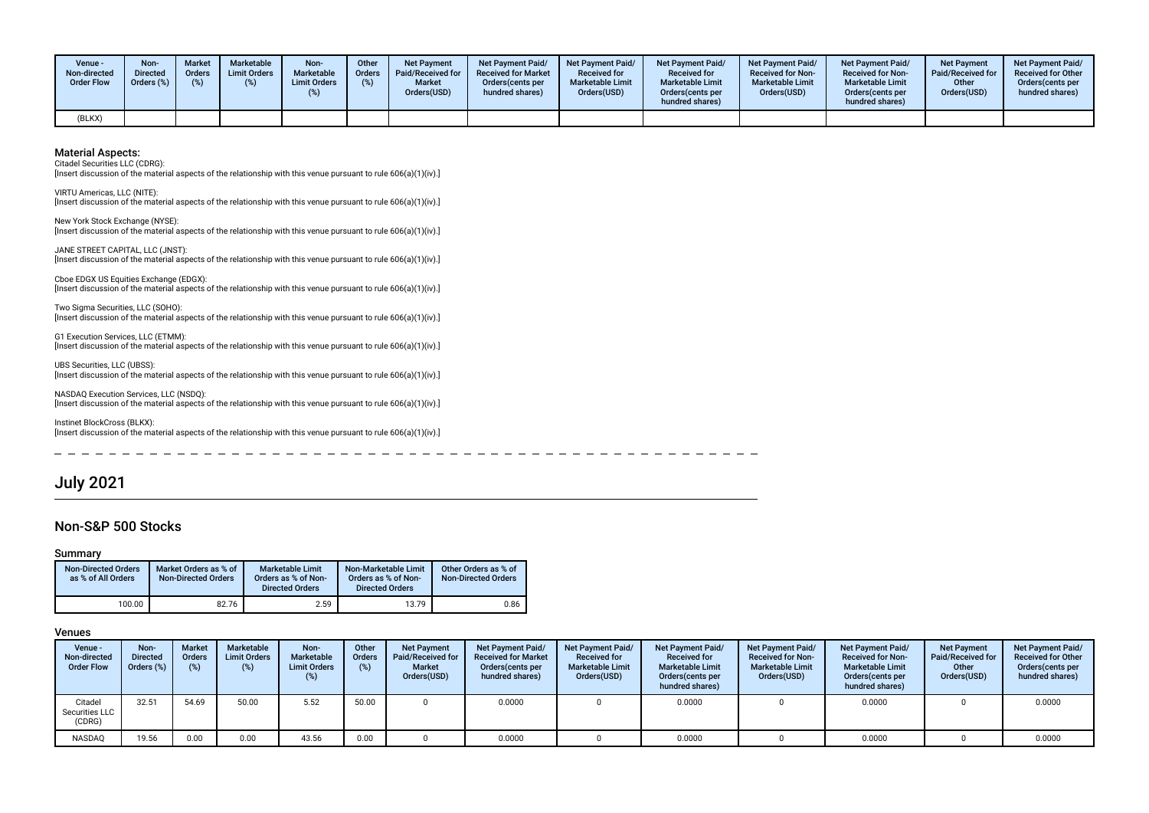| <b>Venue -</b><br>Non-directed<br><b>Order Flow</b> | Non-<br><b>Directed</b><br>Orders (%) | <b>Market</b><br>Orders<br>(%) | <b>Marketable</b><br><b>Limit Orders</b> | Non-<br>Marketable<br><b>Limit Orders</b> | Other<br>Orders<br>(%) | <b>Net Payment</b><br><b>Paid/Received for</b><br><b>Market</b><br>Orders(USD) | Net Payment Paid/<br><b>Received for Market</b><br>Orders (cents per<br>hundred shares) | <b>Net Payment Paid/</b><br><b>Received for</b><br><b>Marketable Limit</b><br>Orders(USD) | Net Payment Paid/<br><b>Received for</b><br><b>Marketable Limit</b><br>Orders(cents per<br>hundred shares) | Net Payment Paid/<br><b>Received for Non-</b><br><b>Marketable Limit</b><br>Orders(USD) | <b>Net Payment Paid/</b><br><b>Received for Non-</b><br><b>Marketable Limit</b><br>Orders(cents per<br>hundred shares) | Net Payment<br>Paid/Received for<br>Other<br>Orders(USD) | <b>Net Payment Paid/</b><br><b>Received for Other</b><br>Orders(cents per<br>hundred shares) |
|-----------------------------------------------------|---------------------------------------|--------------------------------|------------------------------------------|-------------------------------------------|------------------------|--------------------------------------------------------------------------------|-----------------------------------------------------------------------------------------|-------------------------------------------------------------------------------------------|------------------------------------------------------------------------------------------------------------|-----------------------------------------------------------------------------------------|------------------------------------------------------------------------------------------------------------------------|----------------------------------------------------------|----------------------------------------------------------------------------------------------|
| (BLKX)                                              |                                       |                                |                                          |                                           |                        |                                                                                |                                                                                         |                                                                                           |                                                                                                            |                                                                                         |                                                                                                                        |                                                          |                                                                                              |

Citadel Securities LLC (CDRG):

[Insert discussion of the material aspects of the relationship with this venue pursuant to rule 606(a)(1)(iv).]

VIRTU Americas, LLC (NITE): [Insert discussion of the material aspects of the relationship with this venue pursuant to rule 606(a)(1)(iv).]

New York Stock Exchange (NYSE): [Insert discussion of the material aspects of the relationship with this venue pursuant to rule 606(a)(1)(iv).]

JANE STREET CAPITAL, LLC (JNST): [Insert discussion of the material aspects of the relationship with this venue pursuant to rule 606(a)(1)(iv).]

Cboe EDGX US Equities Exchange (EDGX): [Insert discussion of the material aspects of the relationship with this venue pursuant to rule 606(a)(1)(iv).]

Two Sigma Securities, LLC (SOHO): [Insert discussion of the material aspects of the relationship with this venue pursuant to rule 606(a)(1)(iv).]

G1 Execution Services, LLC (ETMM): [Insert discussion of the material aspects of the relationship with this venue pursuant to rule 606(a)(1)(iv).]

UBS Securities, LLC (UBSS): [Insert discussion of the material aspects of the relationship with this venue pursuant to rule 606(a)(1)(iv).]

NASDAQ Execution Services, LLC (NSDQ): [Insert discussion of the material aspects of the relationship with this venue pursuant to rule 606(a)(1)(iv).]

Instinet BlockCross (BLKX): [Insert discussion of the material aspects of the relationship with this venue pursuant to rule 606(a)(1)(iv).]

# July 2021

### Non-S&P 500 Stocks

### Summary

| <b>Non-Directed Orders</b><br>as % of All Orders | Market Orders as % of<br><b>Non-Directed Orders</b> | Marketable Limit<br>Orders as % of Non-<br><b>Directed Orders</b> | Non-Marketable Limit<br>Orders as % of Non-<br><b>Directed Orders</b> | Other Orders as % of<br><b>Non-Directed Orders</b> |
|--------------------------------------------------|-----------------------------------------------------|-------------------------------------------------------------------|-----------------------------------------------------------------------|----------------------------------------------------|
| 100.00                                           | 82.76                                               | 2.59                                                              | 13.79                                                                 | 0.86                                               |

| Venue -<br>Non-directed<br><b>Order Flow</b> | Non-<br>Directed<br>Orders (%) | <b>Market</b><br><b>Orders</b><br>(9) | Marketable<br><b>Limit Orders</b><br>(%) | Non-<br>Marketable<br><b>Limit Orders</b><br>$(\%)$ | Other<br><b>Orders</b><br>(%) | <b>Net Payment</b><br>Paid/Received for<br><b>Market</b><br>Orders(USD) | <b>Net Payment Paid/</b><br><b>Received for Market</b><br>Orders cents per<br>hundred shares) | <b>Net Payment Paid/</b><br><b>Received for</b><br><b>Marketable Limit</b><br>Orders(USD) | <b>Net Payment Paid/</b><br><b>Received for</b><br><b>Marketable Limit</b><br>Orders (cents per<br>hundred shares) | <b>Net Payment Paid/</b><br><b>Received for Non-</b><br><b>Marketable Limit</b><br>Orders(USD) | <b>Net Payment Paid/</b><br><b>Received for Non-</b><br><b>Marketable Limit</b><br>Orders (cents per<br>hundred shares) | <b>Net Payment</b><br>Paid/Received for<br>Other<br>Orders(USD) | Net Payment Paid/<br><b>Received for Other</b><br>Orders(cents per<br>hundred shares) |
|----------------------------------------------|--------------------------------|---------------------------------------|------------------------------------------|-----------------------------------------------------|-------------------------------|-------------------------------------------------------------------------|-----------------------------------------------------------------------------------------------|-------------------------------------------------------------------------------------------|--------------------------------------------------------------------------------------------------------------------|------------------------------------------------------------------------------------------------|-------------------------------------------------------------------------------------------------------------------------|-----------------------------------------------------------------|---------------------------------------------------------------------------------------|
| Citadel<br>Securities LLC<br>(CDRG)          | 32.51                          | 54.69                                 | 50.00                                    | 5.52                                                | 50.00                         |                                                                         | 0.0000                                                                                        |                                                                                           | 0.0000                                                                                                             |                                                                                                | 0.0000                                                                                                                  |                                                                 | 0.0000                                                                                |
| NASDAQ                                       | 19.56                          | 0.00                                  | 0.00                                     | 43.56                                               | 0.00                          |                                                                         | 0.0000                                                                                        |                                                                                           | 0.0000                                                                                                             |                                                                                                | 0.0000                                                                                                                  |                                                                 | 0.0000                                                                                |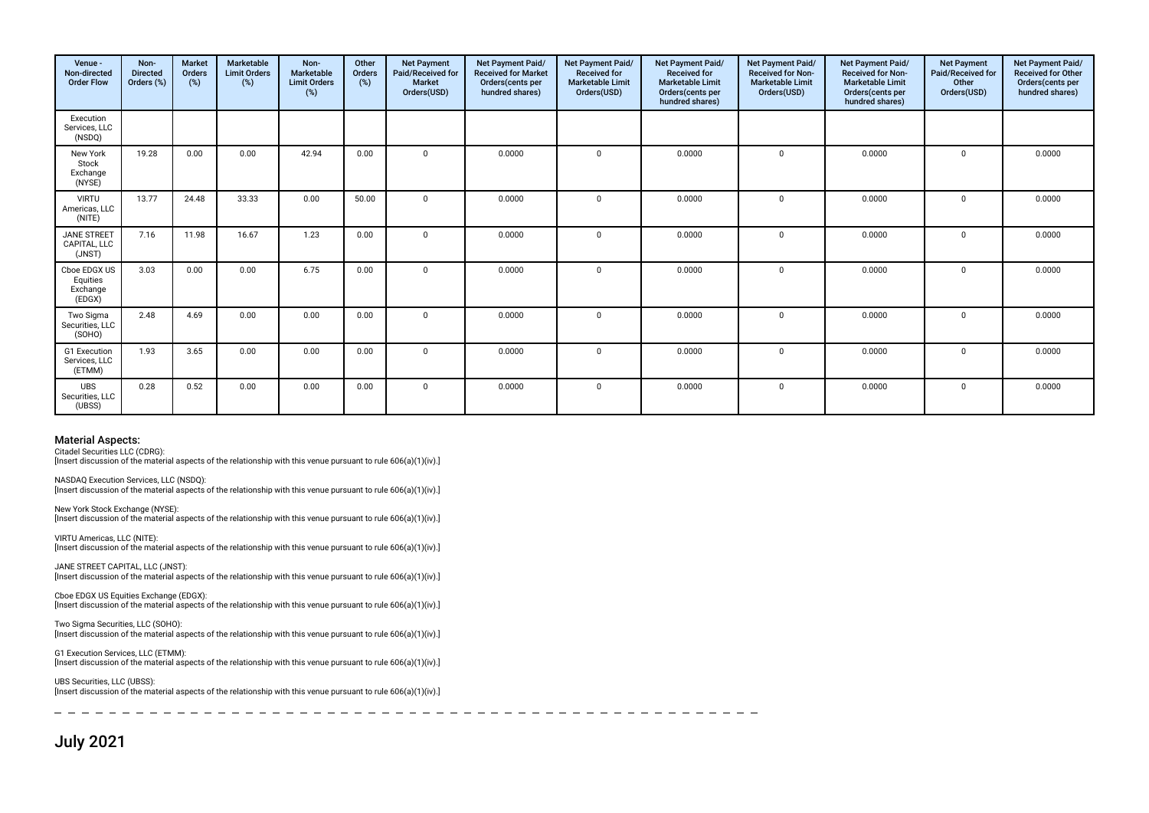| Venue -<br>Non-directed<br><b>Order Flow</b>   | Non-<br><b>Directed</b><br>Orders (%) | <b>Market</b><br>Orders<br>(%) | Marketable<br><b>Limit Orders</b><br>(%) | Non-<br>Marketable<br><b>Limit Orders</b><br>$(\%)$ | Other<br>Orders<br>(%) | <b>Net Payment</b><br>Paid/Received for<br>Market<br>Orders(USD) | Net Payment Paid/<br><b>Received for Market</b><br>Orders(cents per<br>hundred shares) | Net Payment Paid/<br><b>Received for</b><br><b>Marketable Limit</b><br>Orders(USD) | Net Payment Paid/<br><b>Received for</b><br><b>Marketable Limit</b><br>Orders(cents per<br>hundred shares) | Net Payment Paid/<br><b>Received for Non-</b><br><b>Marketable Limit</b><br>Orders(USD) | Net Payment Paid/<br><b>Received for Non-</b><br><b>Marketable Limit</b><br>Orders(cents per<br>hundred shares) | <b>Net Payment</b><br>Paid/Received for<br>Other<br>Orders(USD) | Net Payment Paid/<br><b>Received for Other</b><br>Orders(cents per<br>hundred shares) |
|------------------------------------------------|---------------------------------------|--------------------------------|------------------------------------------|-----------------------------------------------------|------------------------|------------------------------------------------------------------|----------------------------------------------------------------------------------------|------------------------------------------------------------------------------------|------------------------------------------------------------------------------------------------------------|-----------------------------------------------------------------------------------------|-----------------------------------------------------------------------------------------------------------------|-----------------------------------------------------------------|---------------------------------------------------------------------------------------|
| Execution<br>Services, LLC<br>(NSDQ)           |                                       |                                |                                          |                                                     |                        |                                                                  |                                                                                        |                                                                                    |                                                                                                            |                                                                                         |                                                                                                                 |                                                                 |                                                                                       |
| New York<br>Stock<br>Exchange<br>(NYSE)        | 19.28                                 | 0.00                           | 0.00                                     | 42.94                                               | 0.00                   | $\Omega$                                                         | 0.0000                                                                                 | $\Omega$                                                                           | 0.0000                                                                                                     | $\mathbf 0$                                                                             | 0.0000                                                                                                          | $\Omega$                                                        | 0.0000                                                                                |
| <b>VIRTU</b><br>Americas, LLC<br>(NITE)        | 13.77                                 | 24.48                          | 33.33                                    | 0.00                                                | 50.00                  | $\Omega$                                                         | 0.0000                                                                                 | $\Omega$                                                                           | 0.0000                                                                                                     | $\mathbf 0$                                                                             | 0.0000                                                                                                          | $\Omega$                                                        | 0.0000                                                                                |
| <b>JANE STREET</b><br>CAPITAL, LLC<br>(JNST)   | 7.16                                  | 11.98                          | 16.67                                    | 1.23                                                | 0.00                   | $\mathbf{0}$                                                     | 0.0000                                                                                 | $\Omega$                                                                           | 0.0000                                                                                                     | 0                                                                                       | 0.0000                                                                                                          | $\mathbf 0$                                                     | 0.0000                                                                                |
| Cboe EDGX US<br>Equities<br>Exchange<br>(EDGX) | 3.03                                  | 0.00                           | 0.00                                     | 6.75                                                | 0.00                   | $\mathbf 0$                                                      | 0.0000                                                                                 | $\Omega$                                                                           | 0.0000                                                                                                     | $\mathbf 0$                                                                             | 0.0000                                                                                                          | $\mathbf 0$                                                     | 0.0000                                                                                |
| Two Sigma<br>Securities, LLC<br>(SOHO)         | 2.48                                  | 4.69                           | 0.00                                     | 0.00                                                | 0.00                   | $\Omega$                                                         | 0.0000                                                                                 | $\Omega$                                                                           | 0.0000                                                                                                     | $\mathbf 0$                                                                             | 0.0000                                                                                                          | $\Omega$                                                        | 0.0000                                                                                |
| G1 Execution<br>Services, LLC<br>(ETMM)        | 1.93                                  | 3.65                           | 0.00                                     | 0.00                                                | 0.00                   | $\mathbf{0}$                                                     | 0.0000                                                                                 | $\mathbf{0}$                                                                       | 0.0000                                                                                                     | $\mathbf 0$                                                                             | 0.0000                                                                                                          | $\mathbf 0$                                                     | 0.0000                                                                                |
| <b>UBS</b><br>Securities, LLC<br>(UBSS)        | 0.28                                  | 0.52                           | 0.00                                     | 0.00                                                | 0.00                   | $\mathbf 0$                                                      | 0.0000                                                                                 | $\mathbf 0$                                                                        | 0.0000                                                                                                     | 0                                                                                       | 0.0000                                                                                                          | $\mathbf 0$                                                     | 0.0000                                                                                |

Citadel Securities LLC (CDRG):

[Insert discussion of the material aspects of the relationship with this venue pursuant to rule 606(a)(1)(iv).]

NASDAQ Execution Services, LLC (NSDQ): [Insert discussion of the material aspects of the relationship with this venue pursuant to rule 606(a)(1)(iv).]

New York Stock Exchange (NYSE): [Insert discussion of the material aspects of the relationship with this venue pursuant to rule 606(a)(1)(iv).]

VIRTU Americas, LLC (NITE): [Insert discussion of the material aspects of the relationship with this venue pursuant to rule 606(a)(1)(iv).]

JANE STREET CAPITAL, LLC (JNST): [Insert discussion of the material aspects of the relationship with this venue pursuant to rule 606(a)(1)(iv).]

Cboe EDGX US Equities Exchange (EDGX): [Insert discussion of the material aspects of the relationship with this venue pursuant to rule 606(a)(1)(iv).]

Two Sigma Securities, LLC (SOHO): [Insert discussion of the material aspects of the relationship with this venue pursuant to rule 606(a)(1)(iv).]

G1 Execution Services, LLC (ETMM): [Insert discussion of the material aspects of the relationship with this venue pursuant to rule 606(a)(1)(iv).]

UBS Securities, LLC (UBSS): [Insert discussion of the material aspects of the relationship with this venue pursuant to rule 606(a)(1)(iv).]

July 2021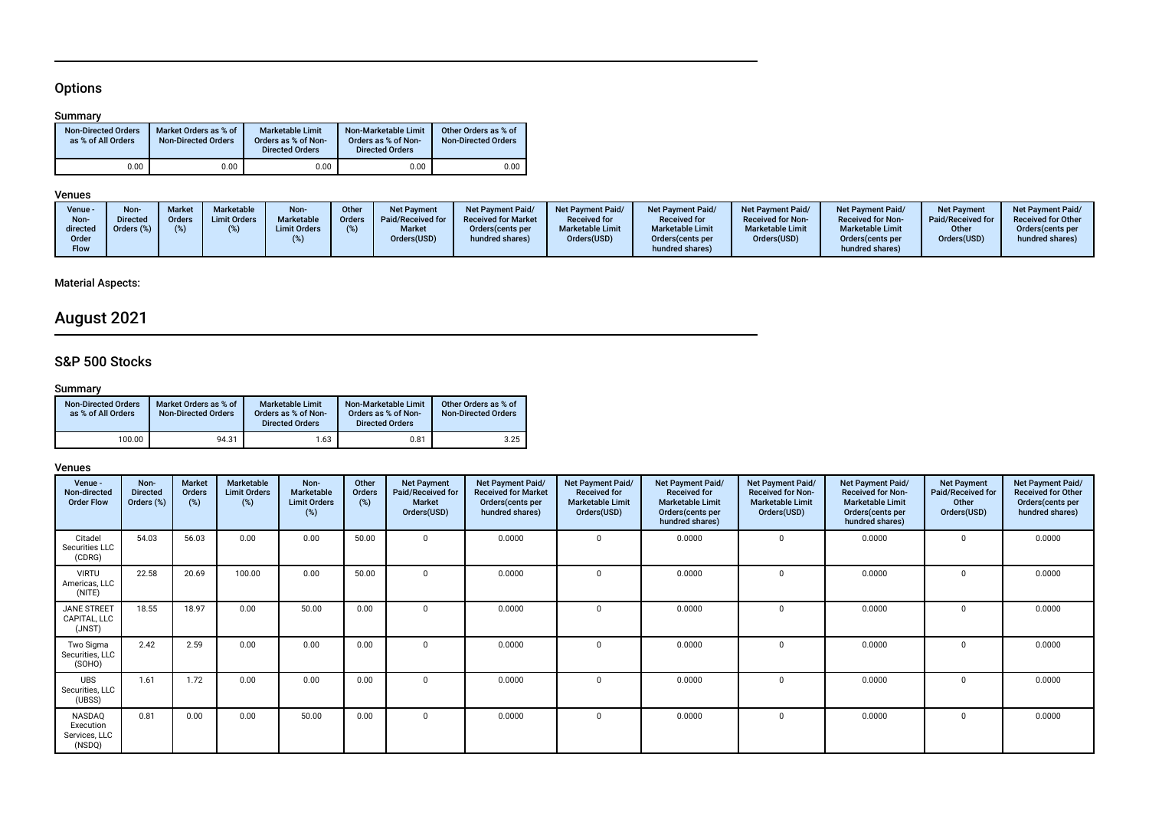# **Options**

## Summary

| <b>Non-Directed Orders</b><br>as % of All Orders | Market Orders as % of<br><b>Non-Directed Orders</b> | <b>Marketable Limit</b><br>Orders as % of Non-<br><b>Directed Orders</b> | Non-Marketable Limit<br>Orders as % of Non-<br><b>Directed Orders</b> | Other Orders as % of<br><b>Non-Directed Orders</b> |
|--------------------------------------------------|-----------------------------------------------------|--------------------------------------------------------------------------|-----------------------------------------------------------------------|----------------------------------------------------|
| 0.00                                             | 0.00                                                | 0.00                                                                     | 0.00                                                                  | 0.00                                               |

# Venues

| Venue -<br>Non-<br>directed<br>Order<br>Flow | Non<br>)irected<br>$Jrders (\%)$ | Marke<br><b>Orders</b> | <b>Marketable</b><br><b>Limit Orders</b> | Non-<br><b>Marketable</b><br><b>Limit Orders</b> | <b>Other</b><br><b>Orders</b> | <b>Net Payment</b><br>Paid/Received for<br><b>Market</b><br>Orders(USD) | <b>Net Payment Paid/</b><br><b>Received for Market</b><br>Orders (cents per<br>hundred shares) | Net Payment Paid/<br><b>Received for</b><br><b>Marketable Limit</b><br>Orders(USD) | <b>Net Payment Paid/</b><br><b>Received for</b><br><b>Marketable Limit</b><br>Orders (cents per<br>hundred shares) | Net Payment Paid/<br><b>Received for Non-</b><br><b>Marketable Limit</b><br>Orders(USD) | <b>Net Payment Paid/</b><br><b>Received for Non-</b><br><b>Marketable Limit</b><br>Orders(cents per<br>hundred shares) | <b>Net Payment</b><br>Paid/Received for<br>Other<br>Orders(USD) | Net Payment Paid/<br><b>Received for Other</b><br>Orders (cents per<br>hundred shares) |
|----------------------------------------------|----------------------------------|------------------------|------------------------------------------|--------------------------------------------------|-------------------------------|-------------------------------------------------------------------------|------------------------------------------------------------------------------------------------|------------------------------------------------------------------------------------|--------------------------------------------------------------------------------------------------------------------|-----------------------------------------------------------------------------------------|------------------------------------------------------------------------------------------------------------------------|-----------------------------------------------------------------|----------------------------------------------------------------------------------------|
|----------------------------------------------|----------------------------------|------------------------|------------------------------------------|--------------------------------------------------|-------------------------------|-------------------------------------------------------------------------|------------------------------------------------------------------------------------------------|------------------------------------------------------------------------------------|--------------------------------------------------------------------------------------------------------------------|-----------------------------------------------------------------------------------------|------------------------------------------------------------------------------------------------------------------------|-----------------------------------------------------------------|----------------------------------------------------------------------------------------|

# Material Aspects:

# August 2021

# S&P 500 Stocks

## **Summary**

| <b>Non-Directed Orders</b><br>as % of All Orders | Market Orders as % of<br>Non-Directed Orders | <b>Marketable Limit</b><br>Orders as % of Non-<br><b>Directed Orders</b> | Non-Marketable Limit<br>Orders as % of Non-<br><b>Directed Orders</b> | Other Orders as % of<br><b>Non-Directed Orders</b> |
|--------------------------------------------------|----------------------------------------------|--------------------------------------------------------------------------|-----------------------------------------------------------------------|----------------------------------------------------|
| 100.00                                           | 94.31                                        | 1.63                                                                     | 0.81                                                                  | 3.25                                               |

| Venue -<br>Non-directed<br><b>Order Flow</b>   | Non-<br><b>Directed</b><br>Orders (%) | <b>Market</b><br>Orders<br>$(\%)$ | Marketable<br><b>Limit Orders</b><br>(%) | Non-<br>Marketable<br><b>Limit Orders</b><br>(%) | Other<br>Orders<br>(%) | <b>Net Payment</b><br>Paid/Received for<br><b>Market</b><br>Orders(USD) | Net Payment Paid/<br><b>Received for Market</b><br>Orders(cents per<br>hundred shares) | Net Payment Paid/<br><b>Received for</b><br><b>Marketable Limit</b><br>Orders(USD) | Net Payment Paid/<br><b>Received for</b><br><b>Marketable Limit</b><br>Orders(cents per<br>hundred shares) | Net Payment Paid/<br><b>Received for Non-</b><br><b>Marketable Limit</b><br>Orders(USD) | Net Payment Paid/<br><b>Received for Non-</b><br><b>Marketable Limit</b><br>Orders(cents per<br>hundred shares) | <b>Net Payment</b><br>Paid/Received for<br>Other<br>Orders(USD) | Net Payment Paid/<br><b>Received for Other</b><br>Orders(cents per<br>hundred shares) |
|------------------------------------------------|---------------------------------------|-----------------------------------|------------------------------------------|--------------------------------------------------|------------------------|-------------------------------------------------------------------------|----------------------------------------------------------------------------------------|------------------------------------------------------------------------------------|------------------------------------------------------------------------------------------------------------|-----------------------------------------------------------------------------------------|-----------------------------------------------------------------------------------------------------------------|-----------------------------------------------------------------|---------------------------------------------------------------------------------------|
| Citadel<br>Securities LLC<br>(CDRG)            | 54.03                                 | 56.03                             | 0.00                                     | 0.00                                             | 50.00                  | $\Omega$                                                                | 0.0000                                                                                 |                                                                                    | 0.0000                                                                                                     | $\Omega$                                                                                | 0.0000                                                                                                          | 0                                                               | 0.0000                                                                                |
| <b>VIRTU</b><br>Americas, LLC<br>(NITE)        | 22.58                                 | 20.69                             | 100.00                                   | 0.00                                             | 50.00                  | $\Omega$                                                                | 0.0000                                                                                 |                                                                                    | 0.0000                                                                                                     | $\Omega$                                                                                | 0.0000                                                                                                          | $\Omega$                                                        | 0.0000                                                                                |
| <b>JANE STREET</b><br>CAPITAL, LLC<br>(JNST)   | 18.55                                 | 18.97                             | 0.00                                     | 50.00                                            | 0.00                   | $\mathbf{0}$                                                            | 0.0000                                                                                 |                                                                                    | 0.0000                                                                                                     | $\Omega$                                                                                | 0.0000                                                                                                          | $\mathbf 0$                                                     | 0.0000                                                                                |
| Two Sigma<br>Securities, LLC<br>(SOHO)         | 2.42                                  | 2.59                              | 0.00                                     | 0.00                                             | 0.00                   | $\Omega$                                                                | 0.0000                                                                                 |                                                                                    | 0.0000                                                                                                     | $\Omega$                                                                                | 0.0000                                                                                                          | $\Omega$                                                        | 0.0000                                                                                |
| <b>UBS</b><br>Securities, LLC<br>(UBSS)        | 1.61                                  | 1.72                              | 0.00                                     | 0.00                                             | 0.00                   | $\Omega$                                                                | 0.0000                                                                                 |                                                                                    | 0.0000                                                                                                     | $\Omega$                                                                                | 0.0000                                                                                                          | 0                                                               | 0.0000                                                                                |
| NASDAQ<br>Execution<br>Services, LLC<br>(NSDQ) | 0.81                                  | 0.00                              | 0.00                                     | 50.00                                            | 0.00                   | $\Omega$                                                                | 0.0000                                                                                 | $\Omega$                                                                           | 0.0000                                                                                                     | $\Omega$                                                                                | 0.0000                                                                                                          | $\Omega$                                                        | 0.0000                                                                                |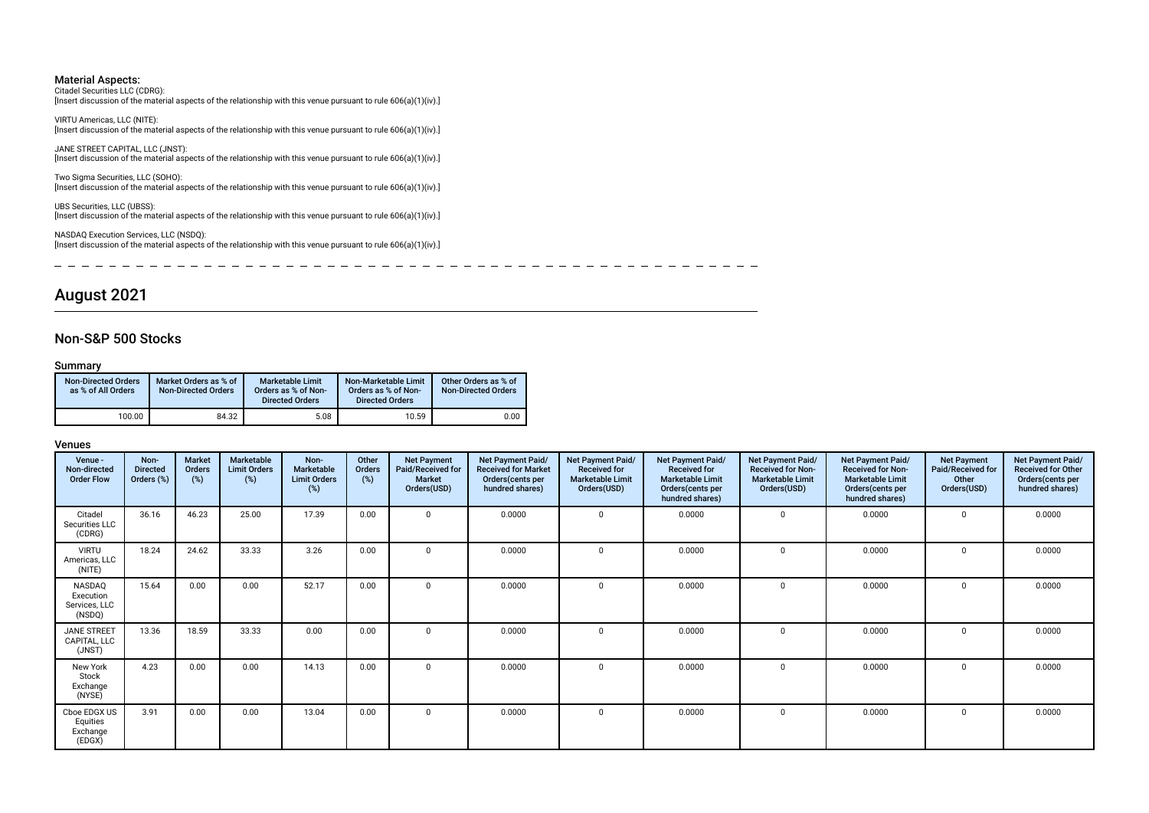Citadel Securities LLC (CDRG): [Insert discussion of the material aspects of the relationship with this venue pursuant to rule 606(a)(1)(iv).]

VIRTU Americas, LLC (NITE): [Insert discussion of the material aspects of the relationship with this venue pursuant to rule 606(a)(1)(iv).]

JANE STREET CAPITAL, LLC (JNST): [Insert discussion of the material aspects of the relationship with this venue pursuant to rule 606(a)(1)(iv).]

Two Sigma Securities, LLC (SOHO): [Insert discussion of the material aspects of the relationship with this venue pursuant to rule 606(a)(1)(iv).]

UBS Securities, LLC (UBSS): [Insert discussion of the material aspects of the relationship with this venue pursuant to rule 606(a)(1)(iv).]

NASDAQ Execution Services, LLC (NSDQ): [Insert discussion of the material aspects of the relationship with this venue pursuant to rule 606(a)(1)(iv).]

 $\overline{\phantom{0}}$  $\overline{\phantom{0}}$  $-$ 

# August 2021

### Non-S&P 500 Stocks

### Summary

| <b>Non-Directed Orders</b><br>as % of All Orders | Market Orders as % of<br><b>Non-Directed Orders</b> | <b>Marketable Limit</b><br>Orders as % of Non-<br><b>Directed Orders</b> | Non-Marketable Limit<br>Orders as % of Non-<br><b>Directed Orders</b> | Other Orders as % of<br><b>Non-Directed Orders</b> |
|--------------------------------------------------|-----------------------------------------------------|--------------------------------------------------------------------------|-----------------------------------------------------------------------|----------------------------------------------------|
| 100.00                                           | 84.32                                               | 5.08                                                                     | 10.59                                                                 | 0.00                                               |

| Venue -<br>Non-directed<br><b>Order Flow</b>   | Non-<br><b>Directed</b><br>Orders (%) | <b>Market</b><br>Orders<br>(%) | <b>Marketable</b><br><b>Limit Orders</b><br>$(\%)$ | Non-<br><b>Marketable</b><br><b>Limit Orders</b><br>$(\%)$ | Other<br>Orders<br>(%) | <b>Net Payment</b><br>Paid/Received for<br><b>Market</b><br>Orders(USD) | Net Payment Paid/<br><b>Received for Market</b><br>Orders (cents per<br>hundred shares) | Net Payment Paid/<br><b>Received for</b><br><b>Marketable Limit</b><br>Orders(USD) | <b>Net Payment Paid/</b><br><b>Received for</b><br><b>Marketable Limit</b><br>Orders(cents per<br>hundred shares) | Net Payment Paid/<br><b>Received for Non-</b><br><b>Marketable Limit</b><br>Orders(USD) | Net Payment Paid/<br><b>Received for Non-</b><br><b>Marketable Limit</b><br>Orders(cents per<br>hundred shares) | <b>Net Payment</b><br>Paid/Received for<br>Other<br>Orders(USD) | Net Payment Paid/<br><b>Received for Other</b><br>Orders(cents per<br>hundred shares) |
|------------------------------------------------|---------------------------------------|--------------------------------|----------------------------------------------------|------------------------------------------------------------|------------------------|-------------------------------------------------------------------------|-----------------------------------------------------------------------------------------|------------------------------------------------------------------------------------|-------------------------------------------------------------------------------------------------------------------|-----------------------------------------------------------------------------------------|-----------------------------------------------------------------------------------------------------------------|-----------------------------------------------------------------|---------------------------------------------------------------------------------------|
| Citadel<br>Securities LLC<br>(CDRG)            | 36.16                                 | 46.23                          | 25.00                                              | 17.39                                                      | 0.00                   | $\Omega$                                                                | 0.0000                                                                                  | $\Omega$                                                                           | 0.0000                                                                                                            | 0                                                                                       | 0.0000                                                                                                          | $\mathbf 0$                                                     | 0.0000                                                                                |
| <b>VIRTU</b><br>Americas, LLC<br>(NITE)        | 18.24                                 | 24.62                          | 33.33                                              | 3.26                                                       | 0.00                   | $\Omega$                                                                | 0.0000                                                                                  |                                                                                    | 0.0000                                                                                                            | $\mathbf 0$                                                                             | 0.0000                                                                                                          | 0                                                               | 0.0000                                                                                |
| NASDAQ<br>Execution<br>Services, LLC<br>(NSDQ) | 15.64                                 | 0.00                           | 0.00                                               | 52.17                                                      | 0.00                   | $\mathbf 0$                                                             | 0.0000                                                                                  |                                                                                    | 0.0000                                                                                                            | $\mathbf 0$                                                                             | 0.0000                                                                                                          | 0                                                               | 0.0000                                                                                |
| JANE STREET<br>CAPITAL, LLC<br>(JNST)          | 13.36                                 | 18.59                          | 33.33                                              | 0.00                                                       | 0.00                   | $\Omega$                                                                | 0.0000                                                                                  |                                                                                    | 0.0000                                                                                                            | $\mathbf 0$                                                                             | 0.0000                                                                                                          | $\Omega$                                                        | 0.0000                                                                                |
| New York<br>Stock<br>Exchange<br>(NYSE)        | 4.23                                  | 0.00                           | 0.00                                               | 14.13                                                      | 0.00                   | $\Omega$                                                                | 0.0000                                                                                  | $\Omega$                                                                           | 0.0000                                                                                                            | $\mathbf 0$                                                                             | 0.0000                                                                                                          | 0                                                               | 0.0000                                                                                |
| Cboe EDGX US<br>Equities<br>Exchange<br>(EDGX) | 3.91                                  | 0.00                           | 0.00                                               | 13.04                                                      | 0.00                   | $^{\circ}$                                                              | 0.0000                                                                                  |                                                                                    | 0.0000                                                                                                            | $\Omega$                                                                                | 0.0000                                                                                                          | $\Omega$                                                        | 0.0000                                                                                |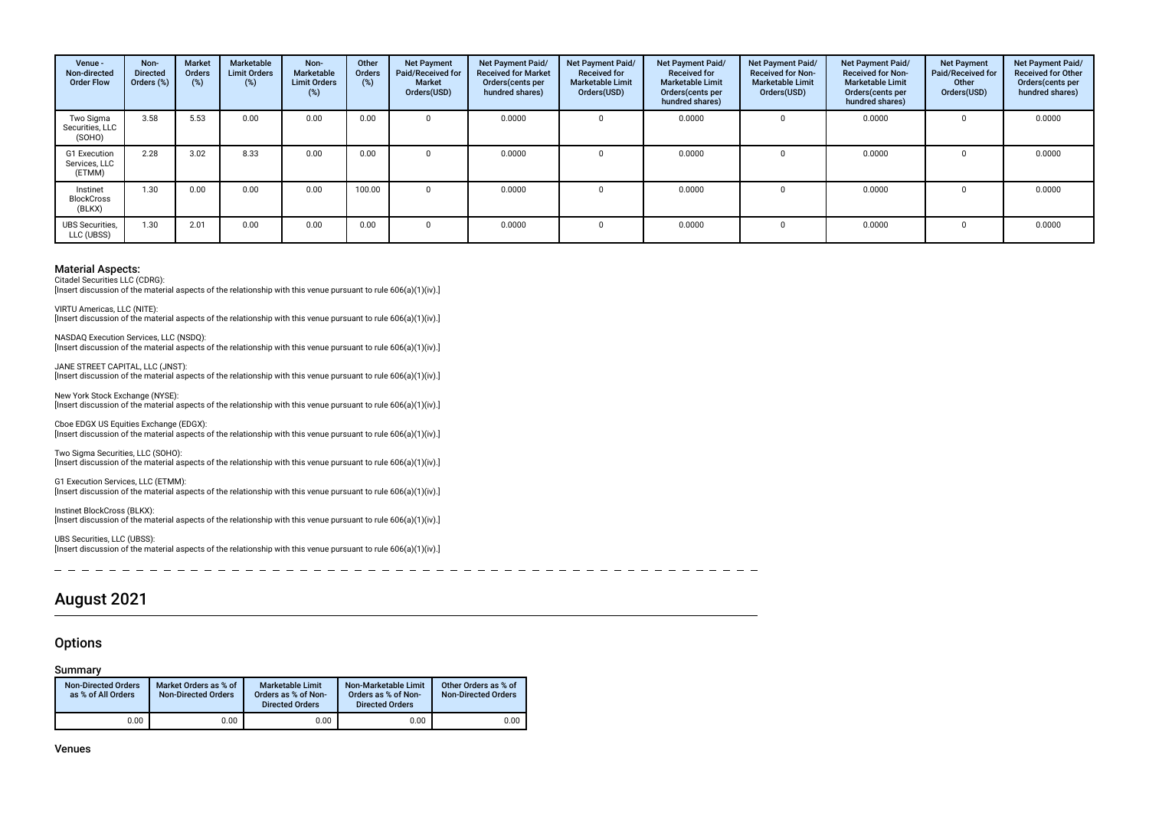| Venue -<br>Non-directed<br><b>Order Flow</b> | Non-<br><b>Directed</b><br>Orders (%) | Market<br>Orders<br>(%) | Marketable<br><b>Limit Orders</b><br>$(\%)$ | Non-<br>Marketable<br><b>Limit Orders</b><br>(%) | Other<br>Orders<br>(%) | <b>Net Payment</b><br>Paid/Received for<br><b>Market</b><br>Orders(USD) | Net Payment Paid/<br><b>Received for Market</b><br>Orders (cents per<br>hundred shares) | Net Payment Paid/<br><b>Received for</b><br><b>Marketable Limit</b><br>Orders(USD) | Net Payment Paid/<br><b>Received for</b><br><b>Marketable Limit</b><br>Orders (cents per<br>hundred shares) | Net Payment Paid/<br><b>Received for Non-</b><br><b>Marketable Limit</b><br>Orders(USD) | Net Payment Paid/<br><b>Received for Non-</b><br>Marketable Limit<br>Orders (cents per<br>hundred shares) | <b>Net Payment</b><br>Paid/Received for<br>Other<br>Orders(USD) | Net Payment Paid/<br><b>Received for Other</b><br>Orders(cents per<br>hundred shares) |
|----------------------------------------------|---------------------------------------|-------------------------|---------------------------------------------|--------------------------------------------------|------------------------|-------------------------------------------------------------------------|-----------------------------------------------------------------------------------------|------------------------------------------------------------------------------------|-------------------------------------------------------------------------------------------------------------|-----------------------------------------------------------------------------------------|-----------------------------------------------------------------------------------------------------------|-----------------------------------------------------------------|---------------------------------------------------------------------------------------|
| Two Sigma<br>Securities, LLC<br>(SOHO)       | 3.58                                  | 5.53                    | 0.00                                        | 0.00                                             | 0.00                   |                                                                         | 0.0000                                                                                  |                                                                                    | 0.0000                                                                                                      |                                                                                         | 0.0000                                                                                                    |                                                                 | 0.0000                                                                                |
| G1 Execution<br>Services, LLC<br>(ETMM)      | 2.28                                  | 3.02                    | 8.33                                        | 0.00                                             | 0.00                   |                                                                         | 0.0000                                                                                  |                                                                                    | 0.0000                                                                                                      |                                                                                         | 0.0000                                                                                                    |                                                                 | 0.0000                                                                                |
| Instinet<br><b>BlockCross</b><br>(BLKX)      | 1.30                                  | 0.00                    | 0.00                                        | 0.00                                             | 100.00                 |                                                                         | 0.0000                                                                                  |                                                                                    | 0.0000                                                                                                      |                                                                                         | 0.0000                                                                                                    |                                                                 | 0.0000                                                                                |
| <b>UBS</b> Securities,<br>LLC (UBSS)         | 1.30                                  | 2.01                    | 0.00                                        | 0.00                                             | 0.00                   |                                                                         | 0.0000                                                                                  |                                                                                    | 0.0000                                                                                                      |                                                                                         | 0.0000                                                                                                    |                                                                 | 0.0000                                                                                |

Citadel Securities LLC (CDRG):

[Insert discussion of the material aspects of the relationship with this venue pursuant to rule 606(a)(1)(iv).]

VIRTU Americas, LLC (NITE): Insert discussion of the material aspects of the relationship with this venue pursuant to rule 606(a)(1)(iv).]

NASDAQ Execution Services, LLC (NSDQ): [Insert discussion of the material aspects of the relationship with this venue pursuant to rule 606(a)(1)(iv).]

JANE STREET CAPITAL, LLC (JNST): [Insert discussion of the material aspects of the relationship with this venue pursuant to rule 606(a)(1)(iv).]

New York Stock Exchange (NYSE): [Insert discussion of the material aspects of the relationship with this venue pursuant to rule 606(a)(1)(iv).]

Cboe EDGX US Equities Exchange (EDGX): [Insert discussion of the material aspects of the relationship with this venue pursuant to rule 606(a)(1)(iv).]

Two Sigma Securities, LLC (SOHO): [Insert discussion of the material aspects of the relationship with this venue pursuant to rule 606(a)(1)(iv).]

G1 Execution Services, LLC (ETMM): [Insert discussion of the material aspects of the relationship with this venue pursuant to rule 606(a)(1)(iv).]

Instinet BlockCross (BLKX): [Insert discussion of the material aspects of the relationship with this venue pursuant to rule 606(a)(1)(iv).]

UBS Securities, LLC (UBSS): [Insert discussion of the material aspects of the relationship with this venue pursuant to rule 606(a)(1)(iv).]

 $\sim$  $-$ 

# August 2021

### **Options**

### Summary

| <b>Non-Directed Orders</b><br>as % of All Orders | Market Orders as % of<br><b>Non-Directed Orders</b> | <b>Marketable Limit</b><br>Orders as % of Non-<br><b>Directed Orders</b> | Non-Marketable Limit<br>Orders as % of Non-<br><b>Directed Orders</b> | Other Orders as % of<br><b>Non-Directed Orders</b> |
|--------------------------------------------------|-----------------------------------------------------|--------------------------------------------------------------------------|-----------------------------------------------------------------------|----------------------------------------------------|
| 0.00                                             | 0.00                                                | 0.00                                                                     | 0.00                                                                  | 0.00                                               |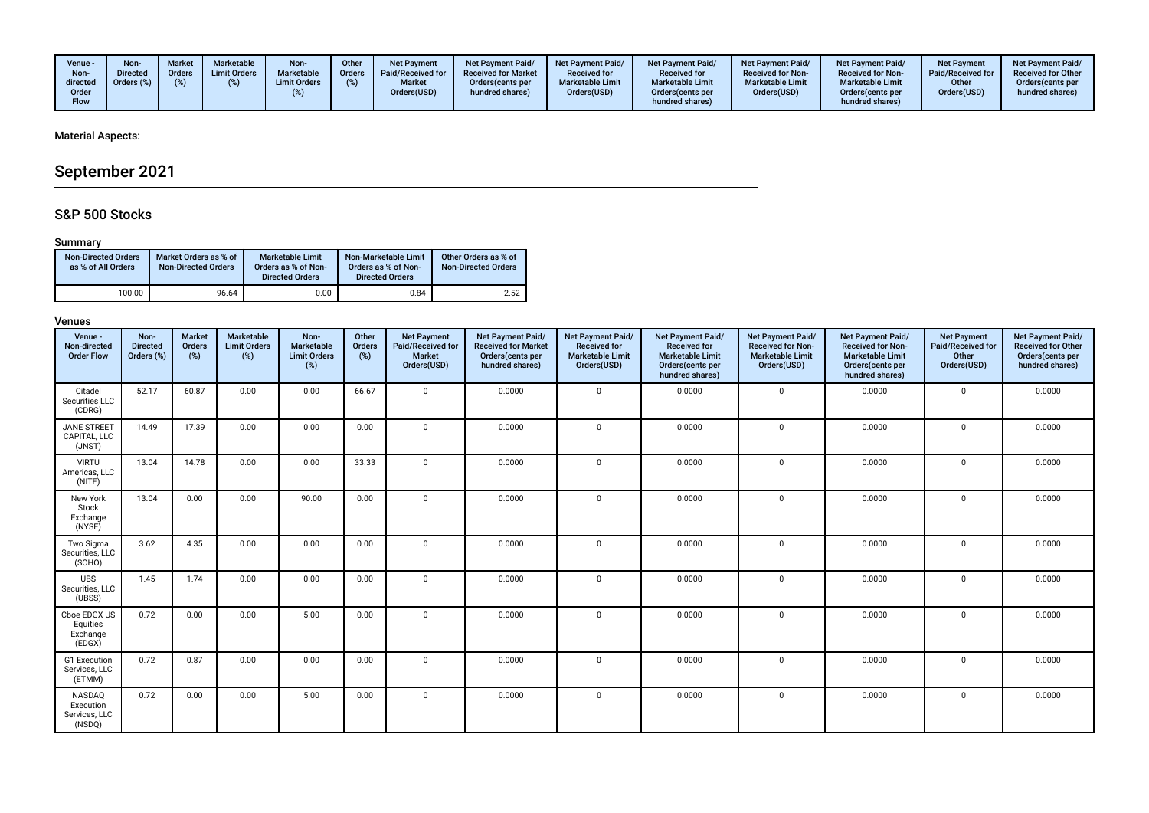| Venue -<br>Non-<br>directed<br>Order<br><b>Flow</b> | Non-<br><b>Directed</b><br>Orders (%) | Market<br>Orders | Marketable<br><b>Limit Orders</b> | Non-<br>Marketable<br><b>Limit Orders</b> | Other<br><b>Orders</b> | <b>Net Payment</b><br>Paid/Received for<br><b>Market</b><br>Orders(USD) | <b>Net Payment Paid/</b><br><b>Received for Market</b><br>Orders (cents per<br>hundred shares) | <b>Net Payment Paid/</b><br><b>Received for</b><br><b>Marketable Limit</b><br>Orders(USD) | <b>Net Payment Paid/</b><br><b>Received for</b><br><b>Marketable Limit</b><br>Orders (cents per<br>hundred shares) | Net Payment Paid/<br><b>Received for Non-</b><br><b>Marketable Limit</b><br>Orders(USD) | <b>Net Payment Paid/</b><br><b>Received for Non-</b><br><b>Marketable Limit</b><br>Orders(cents per<br>hundred shares) | <b>Net Payment</b><br>Paid/Received for<br>Other<br>Orders(USD) | <b>Net Payment Paid/</b><br><b>Received for Other</b><br>Orders(cents per<br>hundred shares) |
|-----------------------------------------------------|---------------------------------------|------------------|-----------------------------------|-------------------------------------------|------------------------|-------------------------------------------------------------------------|------------------------------------------------------------------------------------------------|-------------------------------------------------------------------------------------------|--------------------------------------------------------------------------------------------------------------------|-----------------------------------------------------------------------------------------|------------------------------------------------------------------------------------------------------------------------|-----------------------------------------------------------------|----------------------------------------------------------------------------------------------|
|-----------------------------------------------------|---------------------------------------|------------------|-----------------------------------|-------------------------------------------|------------------------|-------------------------------------------------------------------------|------------------------------------------------------------------------------------------------|-------------------------------------------------------------------------------------------|--------------------------------------------------------------------------------------------------------------------|-----------------------------------------------------------------------------------------|------------------------------------------------------------------------------------------------------------------------|-----------------------------------------------------------------|----------------------------------------------------------------------------------------------|

# September 2021

# S&P 500 Stocks

# Summary

| <b>Non-Directed Orders</b><br>as % of All Orders | Market Orders as % of<br><b>Non-Directed Orders</b> | <b>Marketable Limit</b><br>Orders as % of Non-<br><b>Directed Orders</b> | Non-Marketable Limit<br>Orders as % of Non-<br><b>Directed Orders</b> | Other Orders as % of<br><b>Non-Directed Orders</b> |
|--------------------------------------------------|-----------------------------------------------------|--------------------------------------------------------------------------|-----------------------------------------------------------------------|----------------------------------------------------|
| 100.00                                           | 96.64                                               | 0.00                                                                     | 0.84                                                                  | 2.52                                               |

| Venue -<br>Non-directed<br><b>Order Flow</b>   | Non-<br><b>Directed</b><br>Orders (%) | Market<br>Orders<br>(%) | Marketable<br><b>Limit Orders</b><br>(%) | Non-<br>Marketable<br><b>Limit Orders</b><br>$(\%)$ | Other<br>Orders<br>(%) | <b>Net Payment</b><br>Paid/Received for<br>Market<br>Orders(USD) | Net Payment Paid/<br><b>Received for Market</b><br>Orders(cents per<br>hundred shares) | Net Payment Paid/<br><b>Received for</b><br><b>Marketable Limit</b><br>Orders(USD) | Net Payment Paid/<br><b>Received for</b><br><b>Marketable Limit</b><br>Orders(cents per<br>hundred shares) | Net Payment Paid/<br><b>Received for Non-</b><br><b>Marketable Limit</b><br>Orders(USD) | Net Payment Paid/<br><b>Received for Non-</b><br><b>Marketable Limit</b><br>Orders(cents per<br>hundred shares) | <b>Net Payment</b><br>Paid/Received for<br>Other<br>Orders(USD) | Net Payment Paid/<br><b>Received for Other</b><br>Orders(cents per<br>hundred shares) |
|------------------------------------------------|---------------------------------------|-------------------------|------------------------------------------|-----------------------------------------------------|------------------------|------------------------------------------------------------------|----------------------------------------------------------------------------------------|------------------------------------------------------------------------------------|------------------------------------------------------------------------------------------------------------|-----------------------------------------------------------------------------------------|-----------------------------------------------------------------------------------------------------------------|-----------------------------------------------------------------|---------------------------------------------------------------------------------------|
| Citadel<br>Securities LLC<br>(CDRG)            | 52.17                                 | 60.87                   | 0.00                                     | 0.00                                                | 66.67                  | $\mathbf{0}$                                                     | 0.0000                                                                                 | $\mathbf 0$                                                                        | 0.0000                                                                                                     | $\mathbf 0$                                                                             | 0.0000                                                                                                          | $\mathbf{0}$                                                    | 0.0000                                                                                |
| <b>JANE STREET</b><br>CAPITAL. LLC<br>(JNST)   | 14.49                                 | 17.39                   | 0.00                                     | 0.00                                                | 0.00                   | $\Omega$                                                         | 0.0000                                                                                 | $\mathbf 0$                                                                        | 0.0000                                                                                                     | $\mathbf 0$                                                                             | 0.0000                                                                                                          | $\mathbf 0$                                                     | 0.0000                                                                                |
| <b>VIRTU</b><br>Americas, LLC<br>(NITE)        | 13.04                                 | 14.78                   | 0.00                                     | 0.00                                                | 33.33                  | $\mathbf 0$                                                      | 0.0000                                                                                 | $\mathbf 0$                                                                        | 0.0000                                                                                                     | $\mathbf{0}$                                                                            | 0.0000                                                                                                          | $\mathbf 0$                                                     | 0.0000                                                                                |
| New York<br>Stock<br>Exchange<br>(NYSE)        | 13.04                                 | 0.00                    | 0.00                                     | 90.00                                               | 0.00                   | $\mathbf{0}$                                                     | 0.0000                                                                                 | $\mathbf 0$                                                                        | 0.0000                                                                                                     | $\mathbf 0$                                                                             | 0.0000                                                                                                          | $\mathbf{0}$                                                    | 0.0000                                                                                |
| Two Sigma<br>Securities, LLC<br>(SOHO)         | 3.62                                  | 4.35                    | 0.00                                     | 0.00                                                | 0.00                   | $\mathbf 0$                                                      | 0.0000                                                                                 | $\mathbf 0$                                                                        | 0.0000                                                                                                     | $\mathbf 0$                                                                             | 0.0000                                                                                                          | $\mathbf 0$                                                     | 0.0000                                                                                |
| <b>UBS</b><br>Securities, LLC<br>(UBSS)        | 1.45                                  | 1.74                    | 0.00                                     | 0.00                                                | 0.00                   | $\Omega$                                                         | 0.0000                                                                                 | $\mathbf 0$                                                                        | 0.0000                                                                                                     | $\mathbf{0}$                                                                            | 0.0000                                                                                                          | $\mathbf 0$                                                     | 0.0000                                                                                |
| Cboe EDGX US<br>Equities<br>Exchange<br>(EDGX) | 0.72                                  | 0.00                    | 0.00                                     | 5.00                                                | 0.00                   | $\mathbf 0$                                                      | 0.0000                                                                                 | $\mathbf 0$                                                                        | 0.0000                                                                                                     | $\mathbf 0$                                                                             | 0.0000                                                                                                          | 0                                                               | 0.0000                                                                                |
| G1 Execution<br>Services, LLC<br>(ETMM)        | 0.72                                  | 0.87                    | 0.00                                     | 0.00                                                | 0.00                   | $\mathbf 0$                                                      | 0.0000                                                                                 | $\mathbf 0$                                                                        | 0.0000                                                                                                     | $\mathbf{0}$                                                                            | 0.0000                                                                                                          | $\mathbf 0$                                                     | 0.0000                                                                                |
| NASDAQ<br>Execution<br>Services, LLC<br>(NSDQ) | 0.72                                  | 0.00                    | 0.00                                     | 5.00                                                | 0.00                   | $\mathbf 0$                                                      | 0.0000                                                                                 | $\mathbf 0$                                                                        | 0.0000                                                                                                     | $\mathbf 0$                                                                             | 0.0000                                                                                                          | 0                                                               | 0.0000                                                                                |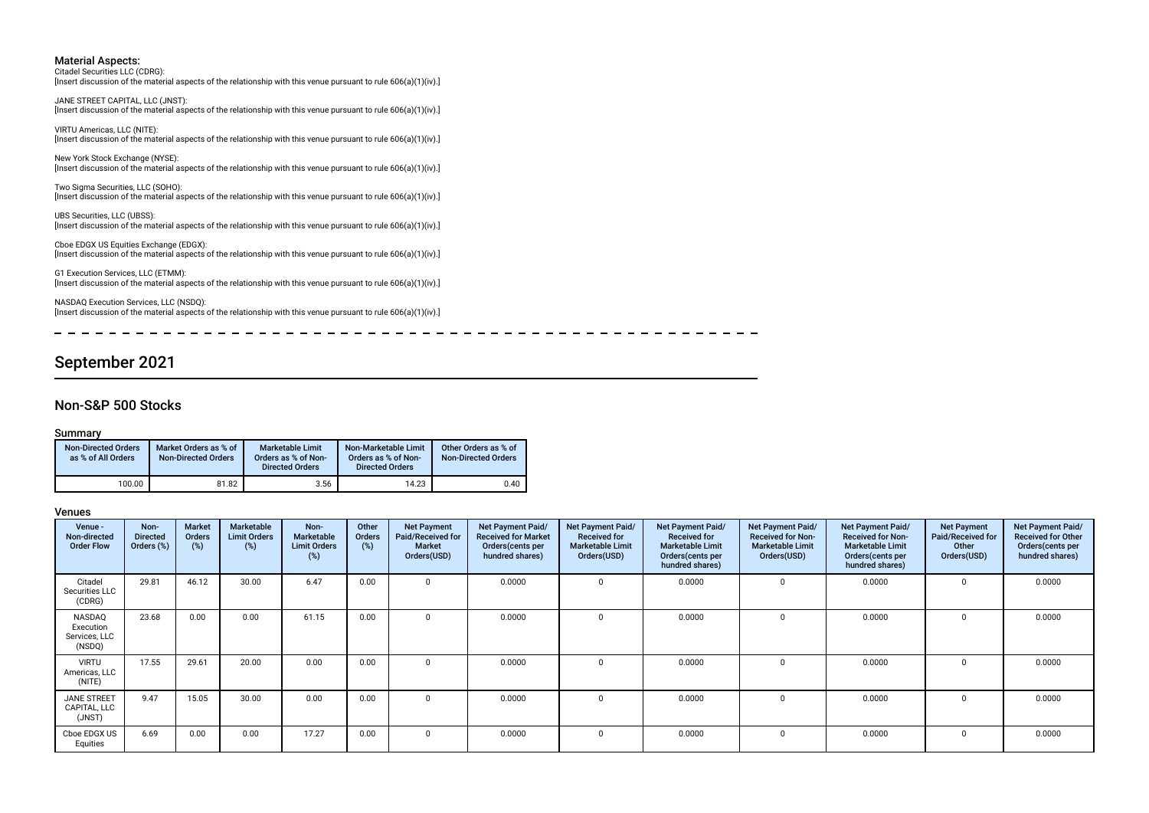Citadel Securities LLC (CDRG): [Insert discussion of the material aspects of the relationship with this venue pursuant to rule 606(a)(1)(iv).]

JANE STREET CAPITAL, LLC (JNST): [Insert discussion of the material aspects of the relationship with this venue pursuant to rule 606(a)(1)(iv).]

VIRTU Americas, LLC (NITE): [Insert discussion of the material aspects of the relationship with this venue pursuant to rule 606(a)(1)(iv).]

New York Stock Exchange (NYSE): [Insert discussion of the material aspects of the relationship with this venue pursuant to rule 606(a)(1)(iv).]

Two Sigma Securities, LLC (SOHO): [Insert discussion of the material aspects of the relationship with this venue pursuant to rule 606(a)(1)(iv).]

UBS Securities, LLC (UBSS): [Insert discussion of the material aspects of the relationship with this venue pursuant to rule 606(a)(1)(iv).]

Cboe EDGX US Equities Exchange (EDGX): [Insert discussion of the material aspects of the relationship with this venue pursuant to rule 606(a)(1)(iv).]

G1 Execution Services, LLC (ETMM): [Insert discussion of the material aspects of the relationship with this venue pursuant to rule 606(a)(1)(iv).]

NASDAQ Execution Services, LLC (NSDQ): [Insert discussion of the material aspects of the relationship with this venue pursuant to rule 606(a)(1)(iv).]

----------

# September 2021

### Non-S&P 500 Stocks

#### Summary

| <b>Non-Directed Orders</b><br>as % of All Orders | Market Orders as % of<br><b>Non-Directed Orders</b> | <b>Marketable Limit</b><br>Orders as % of Non-<br><b>Directed Orders</b> | Non-Marketable Limit<br>Orders as % of Non-<br><b>Directed Orders</b> | Other Orders as % of<br><b>Non-Directed Orders</b> |
|--------------------------------------------------|-----------------------------------------------------|--------------------------------------------------------------------------|-----------------------------------------------------------------------|----------------------------------------------------|
| 100.00                                           | 81.82                                               | 3.56                                                                     | 14.23                                                                 | 0.40                                               |

| Venue -<br>Non-directed<br><b>Order Flow</b>   | Non-<br><b>Directed</b><br>Orders (%) | <b>Market</b><br>Orders<br>(%) | Marketable<br><b>Limit Orders</b><br>$(\%)$ | Non-<br>Marketable<br><b>Limit Orders</b><br>(%) | Other<br>Orders<br>(%) | <b>Net Payment</b><br>Paid/Received for<br><b>Market</b><br>Orders(USD) | Net Payment Paid/<br><b>Received for Market</b><br>Orders (cents per<br>hundred shares) | Net Payment Paid/<br><b>Received for</b><br><b>Marketable Limit</b><br>Orders(USD) | Net Payment Paid/<br><b>Received for</b><br><b>Marketable Limit</b><br>Orders (cents per<br>hundred shares) | Net Payment Paid/<br><b>Received for Non-</b><br><b>Marketable Limit</b><br>Orders(USD) | <b>Net Payment Paid/</b><br><b>Received for Non-</b><br><b>Marketable Limit</b><br>Orders(cents per<br>hundred shares) | <b>Net Payment</b><br>Paid/Received for<br>Other<br>Orders(USD) | Net Payment Paid/<br><b>Received for Other</b><br>Orders (cents per<br>hundred shares) |
|------------------------------------------------|---------------------------------------|--------------------------------|---------------------------------------------|--------------------------------------------------|------------------------|-------------------------------------------------------------------------|-----------------------------------------------------------------------------------------|------------------------------------------------------------------------------------|-------------------------------------------------------------------------------------------------------------|-----------------------------------------------------------------------------------------|------------------------------------------------------------------------------------------------------------------------|-----------------------------------------------------------------|----------------------------------------------------------------------------------------|
| Citadel<br>Securities LLC<br>(CDRG)            | 29.81                                 | 46.12                          | 30.00                                       | 6.47                                             | 0.00                   |                                                                         | 0.0000                                                                                  |                                                                                    | 0.0000                                                                                                      |                                                                                         | 0.0000                                                                                                                 |                                                                 | 0.0000                                                                                 |
| NASDAQ<br>Execution<br>Services, LLC<br>(NSDQ) | 23.68                                 | 0.00                           | 0.00                                        | 61.15                                            | 0.00                   | $\Omega$                                                                | 0.0000                                                                                  |                                                                                    | 0.0000                                                                                                      | $\Omega$                                                                                | 0.0000                                                                                                                 |                                                                 | 0.0000                                                                                 |
| <b>VIRTU</b><br>Americas, LLC<br>(NITE)        | 17.55                                 | 29.61                          | 20.00                                       | 0.00                                             | 0.00                   | $\Omega$                                                                | 0.0000                                                                                  |                                                                                    | 0.0000                                                                                                      | $\Omega$                                                                                | 0.0000                                                                                                                 |                                                                 | 0.0000                                                                                 |
| <b>JANE STREET</b><br>CAPITAL, LLC<br>(JNST)   | 9.47                                  | 15.05                          | 30.00                                       | 0.00                                             | 0.00                   | $\Omega$                                                                | 0.0000                                                                                  |                                                                                    | 0.0000                                                                                                      | $\mathbf 0$                                                                             | 0.0000                                                                                                                 |                                                                 | 0.0000                                                                                 |
| Cboe EDGX US<br>Equities                       | 6.69                                  | 0.00                           | 0.00                                        | 17.27                                            | 0.00                   | $\Omega$                                                                | 0.0000                                                                                  |                                                                                    | 0.0000                                                                                                      | $\Omega$                                                                                | 0.0000                                                                                                                 |                                                                 | 0.0000                                                                                 |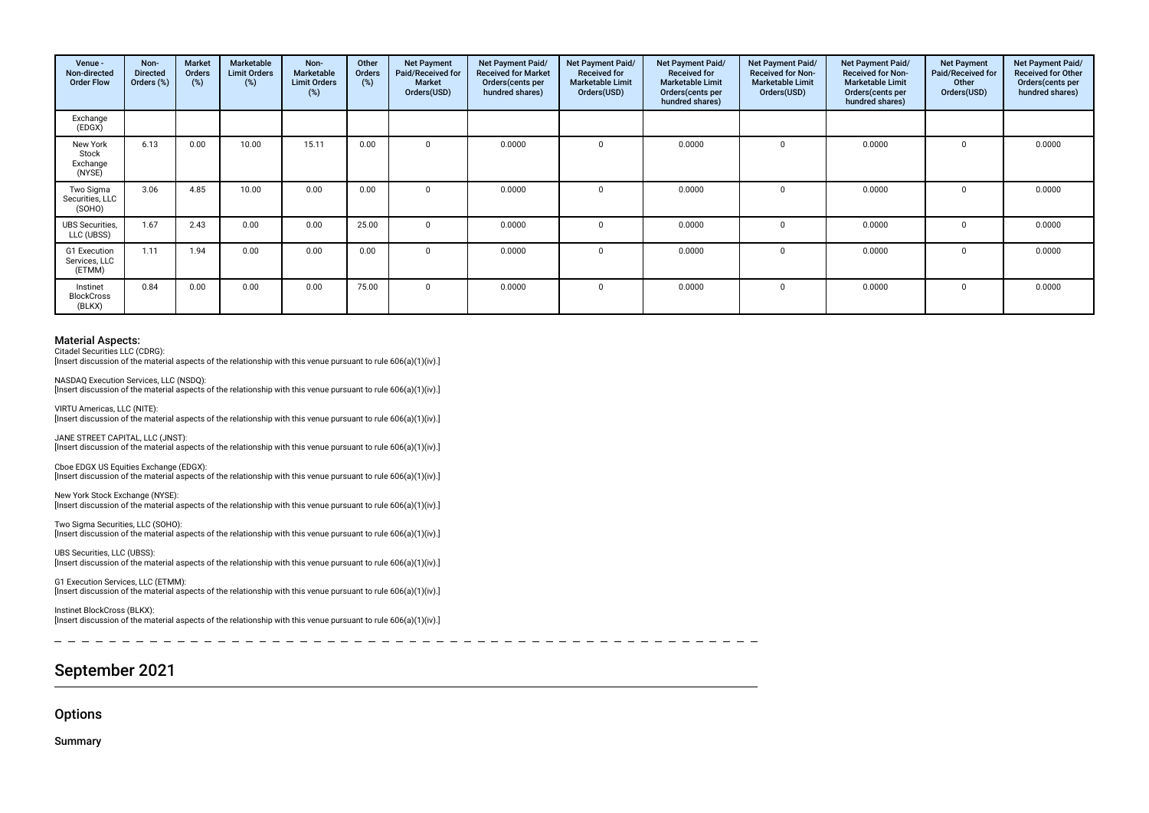| Venue -<br>Non-directed<br><b>Order Flow</b> | Non-<br><b>Directed</b><br>Orders (%) | Market<br>Orders<br>(%) | Marketable<br><b>Limit Orders</b><br>(%) | Non-<br>Marketable<br><b>Limit Orders</b><br>(%) | Other<br>Orders<br>(%) | <b>Net Payment</b><br>Paid/Received for<br><b>Market</b><br>Orders(USD) | <b>Net Payment Paid/</b><br><b>Received for Market</b><br>Orders (cents per<br>hundred shares) | Net Payment Paid/<br><b>Received for</b><br><b>Marketable Limit</b><br>Orders(USD) | Net Payment Paid/<br><b>Received for</b><br><b>Marketable Limit</b><br>Orders (cents per<br>hundred shares) | Net Payment Paid/<br><b>Received for Non-</b><br><b>Marketable Limit</b><br>Orders(USD) | <b>Net Payment Paid/</b><br><b>Received for Non-</b><br><b>Marketable Limit</b><br>Orders (cents per<br>hundred shares) | <b>Net Payment</b><br>Paid/Received for<br>Other<br>Orders(USD) | <b>Net Payment Paid/</b><br><b>Received for Other</b><br>Orders(cents per<br>hundred shares) |
|----------------------------------------------|---------------------------------------|-------------------------|------------------------------------------|--------------------------------------------------|------------------------|-------------------------------------------------------------------------|------------------------------------------------------------------------------------------------|------------------------------------------------------------------------------------|-------------------------------------------------------------------------------------------------------------|-----------------------------------------------------------------------------------------|-------------------------------------------------------------------------------------------------------------------------|-----------------------------------------------------------------|----------------------------------------------------------------------------------------------|
| Exchange<br>(EDGX)                           |                                       |                         |                                          |                                                  |                        |                                                                         |                                                                                                |                                                                                    |                                                                                                             |                                                                                         |                                                                                                                         |                                                                 |                                                                                              |
| New York<br>Stock<br>Exchange<br>(NYSE)      | 6.13                                  | 0.00                    | 10.00                                    | 15.11                                            | 0.00                   |                                                                         | 0.0000                                                                                         | $\Omega$                                                                           | 0.0000                                                                                                      | $\Omega$                                                                                | 0.0000                                                                                                                  | $\Omega$                                                        | 0.0000                                                                                       |
| Two Sigma<br>Securities, LLC<br>(SOHO)       | 3.06                                  | 4.85                    | 10.00                                    | 0.00                                             | 0.00                   |                                                                         | 0.0000                                                                                         | $\Omega$                                                                           | 0.0000                                                                                                      | $\mathbf 0$                                                                             | 0.0000                                                                                                                  |                                                                 | 0.0000                                                                                       |
| <b>UBS</b> Securities,<br>LLC (UBSS)         | 1.67                                  | 2.43                    | 0.00                                     | 0.00                                             | 25.00                  |                                                                         | 0.0000                                                                                         | $\Omega$                                                                           | 0.0000                                                                                                      | $\Omega$                                                                                | 0.0000                                                                                                                  |                                                                 | 0.0000                                                                                       |
| G1 Execution<br>Services, LLC<br>(ETMM)      | 1.11                                  | 1.94                    | 0.00                                     | 0.00                                             | 0.00                   |                                                                         | 0.0000                                                                                         |                                                                                    | 0.0000                                                                                                      | $\Omega$                                                                                | 0.0000                                                                                                                  |                                                                 | 0.0000                                                                                       |
| Instinet<br>BlockCross<br>(BLKX)             | 0.84                                  | 0.00                    | 0.00                                     | 0.00                                             | 75.00                  |                                                                         | 0.0000                                                                                         | $\Omega$                                                                           | 0.0000                                                                                                      | $\mathbf 0$                                                                             | 0.0000                                                                                                                  |                                                                 | 0.0000                                                                                       |

Citadel Securities LLC (CDRG):

[Insert discussion of the material aspects of the relationship with this venue pursuant to rule 606(a)(1)(iv).]

NASDAQ Execution Services, LLC (NSDQ): [Insert discussion of the material aspects of the relationship with this venue pursuant to rule 606(a)(1)(iv).]

VIRTU Americas, LLC (NITE): [Insert discussion of the material aspects of the relationship with this venue pursuant to rule 606(a)(1)(iv).]

JANE STREET CAPITAL, LLC (JNST): [Insert discussion of the material aspects of the relationship with this venue pursuant to rule  $606(a)(1)(iv)$ .]

Cboe EDGX US Equities Exchange (EDGX): [Insert discussion of the material aspects of the relationship with this venue pursuant to rule 606(a)(1)(iv).]

New York Stock Exchange (NYSE): [Insert discussion of the material aspects of the relationship with this venue pursuant to rule 606(a)(1)(iv).]

Two Sigma Securities, LLC (SOHO): [Insert discussion of the material aspects of the relationship with this venue pursuant to rule 606(a)(1)(iv).]

UBS Securities, LLC (UBSS): [Insert discussion of the material aspects of the relationship with this venue pursuant to rule 606(a)(1)(iv).]

G1 Execution Services, LLC (ETMM): [Insert discussion of the material aspects of the relationship with this venue pursuant to rule 606(a)(1)(iv).]

Instinet BlockCross (BLKX): [Insert discussion of the material aspects of the relationship with this venue pursuant to rule 606(a)(1)(iv).]

# September 2021

**Options** 

Summary